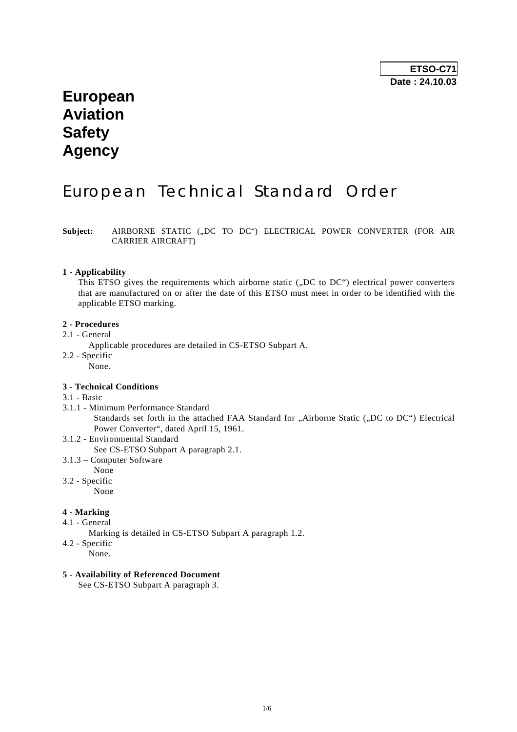# **European Aviation Safety Agency**

# European Technical Standard Order

Subject: AIRBORNE STATIC ("DC TO DC") ELECTRICAL POWER CONVERTER (FOR AIR CARRIER AIRCRAFT)

#### **1 - Applicability**

This ETSO gives the requirements which airborne static ("DC to DC") electrical power converters that are manufactured on or after the date of this ETSO must meet in order to be identified with the applicable ETSO marking.

#### **2 - Procedures**

- 2.1 General
	- Applicable procedures are detailed in CS-ETSO Subpart A.
- 2.2 Specific
	- None.

#### **3 - Technical Conditions**

#### 3.1 - Basic

3.1.1 - Minimum Performance Standard

Standards set forth in the attached FAA Standard for "Airborne Static ("DC to DC") Electrical Power Converter", dated April 15, 1961.

- 3.1.2 Environmental Standard
	- See CS-ETSO Subpart A paragraph 2.1.
- 3.1.3 Computer Software
- None 3.2 - Specific

None

- **4 Marking**
- 4.1 General
	- Marking is detailed in CS-ETSO Subpart A paragraph 1.2.
- 4.2 Specific
	- None.

#### **5 - Availability of Referenced Document**

See CS-ETSO Subpart A paragraph 3.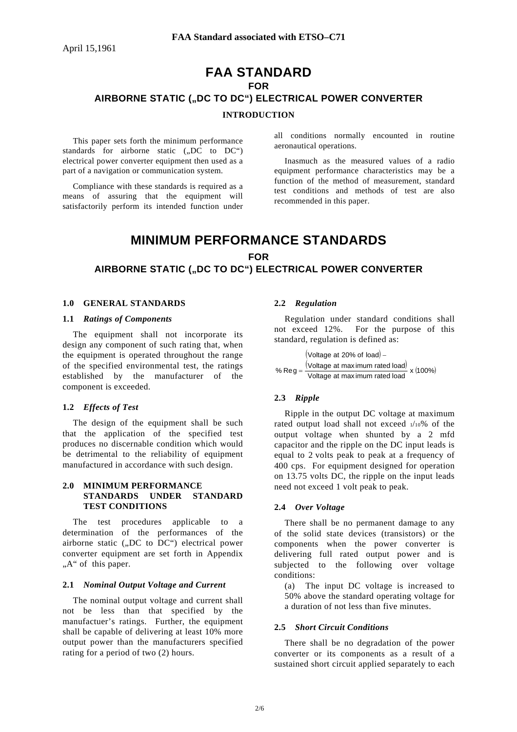## **FAA STANDARD FOR**  AIRBORNE STATIC ("DC TO DC") ELECTRICAL POWER CONVERTER **INTRODUCTION**

 This paper sets forth the minimum performance standards for airborne static  $(0, D\overline{C})$  to  $DC^{\prime\prime}$ ) electrical power converter equipment then used as a part of a navigation or communication system.

 Compliance with these standards is required as a means of assuring that the equipment will satisfactorily perform its intended function under all conditions normally encounted in routine aeronautical operations.

 Inasmuch as the measured values of a radio equipment performance characteristics may be a function of the method of measurement, standard test conditions and methods of test are also recommended in this paper.

## **MINIMUM PERFORMANCE STANDARDS FOR**  AIRBORNE STATIC ("DC TO DC") ELECTRICAL POWER CONVERTER

#### **1.0 GENERAL STANDARDS**

#### **1.1** *Ratings of Components*

 The equipment shall not incorporate its design any component of such rating that, when the equipment is operated throughout the range of the specified environmental test, the ratings established by the manufacturer of the component is exceeded.

#### **1.2** *Effects of Test*

 The design of the equipment shall be such that the application of the specified test produces no discernable condition which would be detrimental to the reliability of equipment manufactured in accordance with such design.

#### **2.0 MINIMUM PERFORMANCE STANDARDS UNDER STANDARD TEST CONDITIONS**

 The test procedures applicable to a determination of the performances of the airborne static  $($ "DC to DC" $)$  electrical power converter equipment are set forth in Appendix "A" of this paper.

#### **2.1** *Nominal Output Voltage and Current*

 The nominal output voltage and current shall not be less than that specified by the manufactuer's ratings. Further, the equipment shall be capable of delivering at least 10% more output power than the manufacturers specified rating for a period of two (2) hours.

#### **2.2** *Regulation*

 Regulation under standard conditions shall not exceed 12%. For the purpose of this standard, regulation is defined as:

( ) Voltage at 20% of load −  $\frac{100}{100}$  voltage at maximum rated load)<br>Voltage at maximum rated load<br>Voltage at maximum rated load  $%$  Reg  $=$ 

#### **2.3** *Ripple*

 Ripple in the output DC voltage at maximum rated output load shall not exceed 1/10% of the output voltage when shunted by a 2 mfd capacitor and the ripple on the DC input leads is equal to 2 volts peak to peak at a frequency of 400 cps. For equipment designed for operation on 13.75 volts DC, the ripple on the input leads need not exceed 1 volt peak to peak.

#### **2.4** *Over Voltage*

 There shall be no permanent damage to any of the solid state devices (transistors) or the components when the power converter is delivering full rated output power and is subjected to the following over voltage conditions:

(a) The input DC voltage is increased to 50% above the standard operating voltage for a duration of not less than five minutes.

#### **2.5** *Short Circuit Conditions*

 There shall be no degradation of the power converter or its components as a result of a sustained short circuit applied separately to each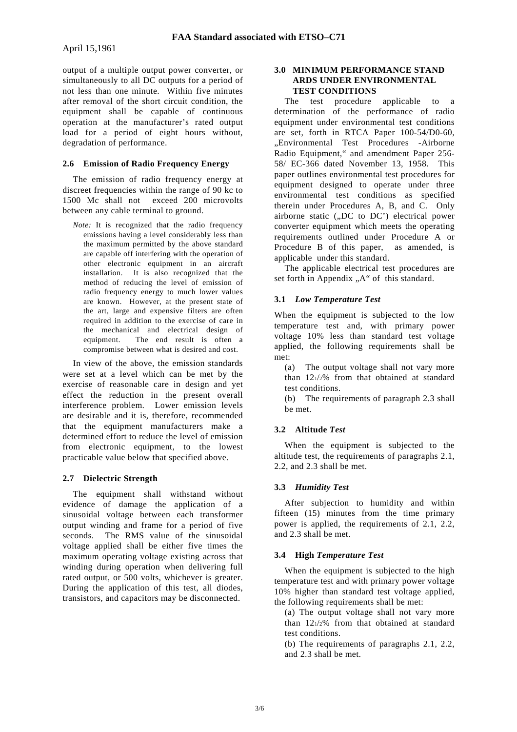output of a multiple output power converter, or simultaneously to all DC outputs for a period of not less than one minute. Within five minutes after removal of the short circuit condition, the equipment shall be capable of continuous operation at the manufacturer's rated output load for a period of eight hours without, degradation of performance.

#### **2.6 Emission of Radio Frequency Energy**

 The emission of radio frequency energy at discreet frequencies within the range of 90 kc to 1500 Mc shall not exceed 200 microvolts between any cable terminal to ground.

*Note:* It is recognized that the radio frequency emissions having a level considerably less than the maximum permitted by the above standard are capable off interfering with the operation of other electronic equipment in an aircraft installation. It is also recognized that the method of reducing the level of emission of radio frequency energy to much lower values are known. However, at the present state of the art, large and expensive filters are often required in addition to the exercise of care in the mechanical and electrical design of equipment. The end result is often a compromise between what is desired and cost.

 In view of the above, the emission standards were set at a level which can be met by the exercise of reasonable care in design and yet effect the reduction in the present overall interference problem. Lower emission levels are desirable and it is, therefore, recommended that the equipment manufacturers make a determined effort to reduce the level of emission from electronic equipment, to the lowest practicable value below that specified above.

#### **2.7 Dielectric Strength**

 The equipment shall withstand without evidence of damage the application of a sinusoidal voltage between each transformer output winding and frame for a period of five seconds. The RMS value of the sinusoidal voltage applied shall be either five times the maximum operating voltage existing across that winding during operation when delivering full rated output, or 500 volts, whichever is greater. During the application of this test, all diodes, transistors, and capacitors may be disconnected.

#### **3.0 MINIMUM PERFORMANCE STAND ARDS UNDER ENVIRONMENTAL TEST CONDITIONS**

 The test procedure applicable to a determination of the performance of radio equipment under environmental test conditions are set, forth in RTCA Paper 100-54/D0-60, "Environmental Test Procedures -Airborne Radio Equipment," and amendment Paper 256- 58/ EC-366 dated November 13, 1958. This paper outlines environmental test procedures for equipment designed to operate under three environmental test conditions as specified therein under Procedures A, B, and C. Only airborne static  $($ "DC to DC $)$  electrical power converter equipment which meets the operating requirements outlined under Procedure A or Procedure B of this paper, as amended, is applicable under this standard.

 The applicable electrical test procedures are set forth in Appendix "A" of this standard.

#### **3.1** *Low Temperature Test*

When the equipment is subjected to the low temperature test and, with primary power voltage 10% less than standard test voltage applied, the following requirements shall be met:

(a) The output voltage shall not vary more than 121/2% from that obtained at standard test conditions.

(b) The requirements of paragraph 2.3 shall be met.

#### **3.2 Altitude** *Test*

 When the equipment is subjected to the altitude test, the requirements of paragraphs 2.1, 2.2, and 2.3 shall be met.

#### **3.3** *Humidity Test*

 After subjection to humidity and within fifteen (15) minutes from the time primary power is applied, the requirements of 2.1, 2.2, and 2.3 shall be met.

#### **3.4 High** *Temperature Test*

 When the equipment is subjected to the high temperature test and with primary power voltage 10% higher than standard test voltage applied, the following requirements shall be met:

(a) The output voltage shall not vary more than 121/2% from that obtained at standard test conditions.

(b) The requirements of paragraphs 2.1, 2.2, and 2.3 shall be met.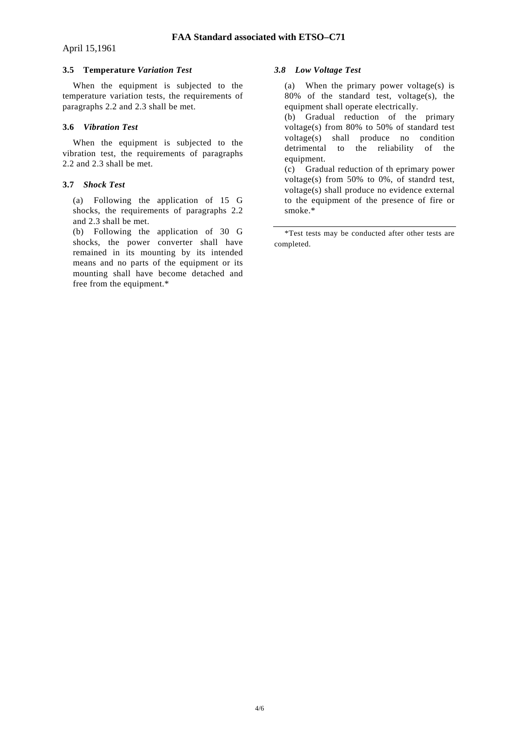#### **3.5 Temperature** *Variation Test*

 When the equipment is subjected to the temperature variation tests, the requirements of paragraphs 2.2 and 2.3 shall be met.

#### **3.6** *Vibration Test*

 When the equipment is subjected to the vibration test, the requirements of paragraphs 2.2 and 2.3 shall be met.

#### **3.7** *Shock Test*

(a) Following the application of 15 G shocks, the requirements of paragraphs 2.2 and 2.3 shall be met.

(b) Following the application of 30 G shocks, the power converter shall have remained in its mounting by its intended means and no parts of the equipment or its mounting shall have become detached and free from the equipment.\*

#### *3.8 Low Voltage Test*

(a) When the primary power voltage(s) is 80% of the standard test, voltage(s), the equipment shall operate electrically.

(b) Gradual reduction of the primary voltage(s) from 80% to 50% of standard test voltage(s) shall produce no condition detrimental to the reliability of the equipment.

(c) Gradual reduction of th eprimary power voltage(s) from 50% to 0%, of standrd test, voltage(s) shall produce no evidence external to the equipment of the presence of fire or smoke.\*

 \*Test tests may be conducted after other tests are completed.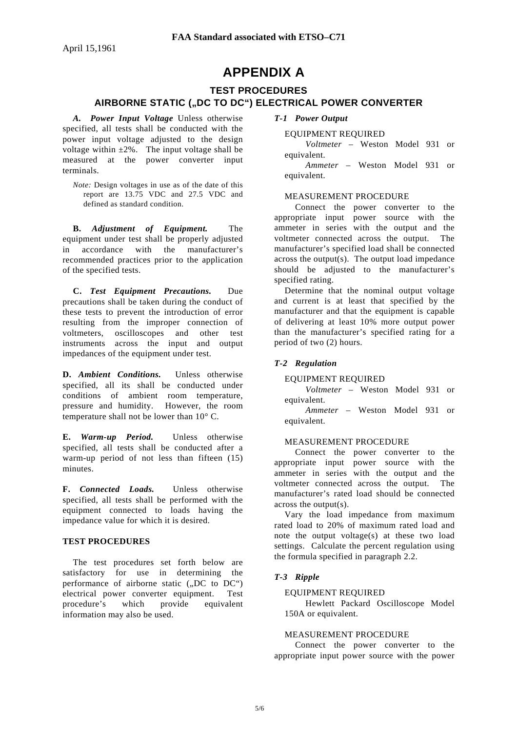## **APPENDIX A**

### **TEST PROCEDURES**

#### AIRBORNE STATIC ("DC TO DC") ELECTRICAL POWER CONVERTER

*A. Power Input Voltage* Unless otherwise specified, all tests shall be conducted with the power input voltage adjusted to the design voltage within  $\pm 2\%$ . The input voltage shall be measured at the power converter input terminals.

*Note:* Design voltages in use as of the date of this report are 13.75 VDC and 27.5 VDC and defined as standard condition.

 **B.** *Adjustment of Equipment.* The equipment under test shall be properly adjusted in accordance with the manufacturer's recommended practices prior to the application of the specified tests.

 **C.** *Test Equipment Precautions.* Due precautions shall be taken during the conduct of these tests to prevent the introduction of error resulting from the improper connection of voltmeters, oscilloscopes and other test instruments across the input and output impedances of the equipment under test.

**D.** *Ambient Conditions.* Unless otherwise specified, all its shall be conducted under conditions of ambient room temperature, pressure and humidity. However, the room temperature shall not be lower than 10° C.

**E.** *Warm-up Period.* Unless otherwise specified, all tests shall be conducted after a warm-up period of not less than fifteen (15) minutes.

**F.** *Connected Loads.* Unless otherwise specified, all tests shall be performed with the equipment connected to loads having the impedance value for which it is desired.

#### **TEST PROCEDURES**

 The test procedures set forth below are satisfactory for use in determining the performance of airborne static  $(0.00C)$ electrical power converter equipment. Test procedure's which provide equivalent information may also be used.

*T-1 Power Output* 

#### EQUIPMENT REQUIRED

*Voltmeter* – Weston Model 931 or equivalent.

*Ammeter* – Weston Model 931 or equivalent.

#### MEASUREMENT PROCEDURE

 Connect the power converter to the appropriate input power source with the ammeter in series with the output and the voltmeter connected across the output. The manufacturer's specified load shall be connected across the output(s). The output load impedance should be adjusted to the manufacturer's specified rating.

 Determine that the nominal output voltage and current is at least that specified by the manufacturer and that the equipment is capable of delivering at least 10% more output power than the manufacturer's specified rating for a period of two (2) hours.

#### *T-2 Regulation*

#### EQUIPMENT REQUIRED

*Voltmeter* – Weston Model 931 or equivalent.

*Ammeter* – Weston Model 931 or equivalent.

#### MEASUREMENT PROCEDURE

 Connect the power converter to the appropriate input power source with the ammeter in series with the output and the voltmeter connected across the output. The manufacturer's rated load should be connected across the output(s).

 Vary the load impedance from maximum rated load to 20% of maximum rated load and note the output voltage(s) at these two load settings. Calculate the percent regulation using the formula specified in paragraph 2.2.

#### *T-3 Ripple*

#### EQUIPMENT REQUIRED

 Hewlett Packard Oscilloscope Model 150A or equivalent.

#### MEASUREMENT PROCEDURE

 Connect the power converter to the appropriate input power source with the power